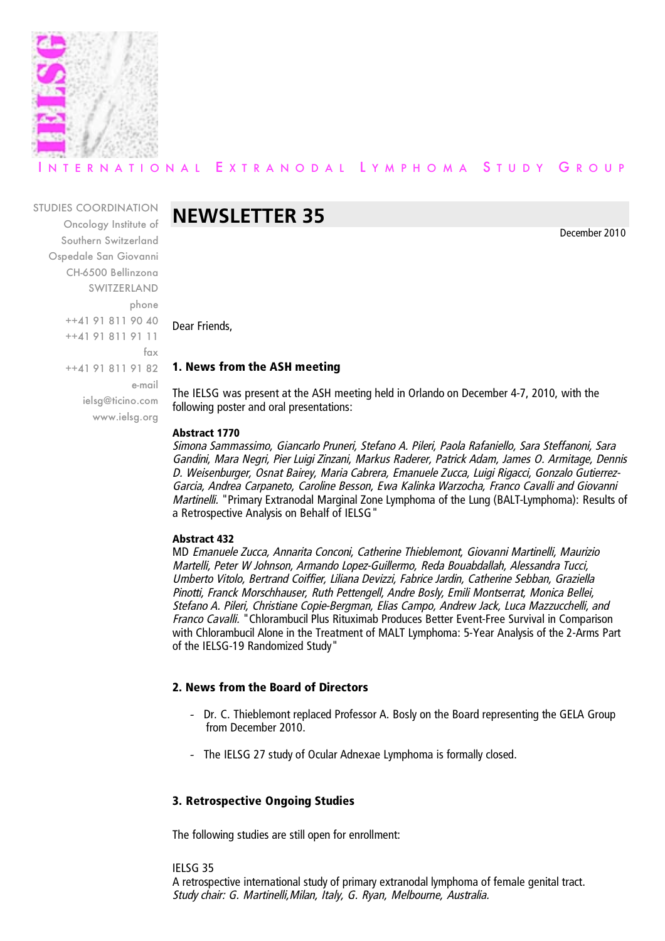

# ERNATIONAL EXTRANODAL LYMPHOMA STUDY GROUP

STUDIES COORDINATION

Oncology Institute of Southern Switzerland Ospedale San Giovanni CH-6500 Bellinzona SWITZERLAND phone ++41 91 811 90 40 ++41 91 811 91 11 fax ++41 91 811 91 82 e-mail ielsg@ticino.com www.ielsg.org

# **NEWSLETTER 35**

December 2010

Dear Friends,

#### 1. News from the ASH meeting

The IELSG was present at the ASH meeting held in Orlando on December 4-7, 2010, with the following poster and oral presentations:

#### Abstract 1770

Simona Sammassimo, Giancarlo Pruneri, Stefano A. Pileri, Paola Rafaniello, Sara Steffanoni, Sara Gandini, Mara Negri, Pier Luigi Zinzani, Markus Raderer, Patrick Adam, James O. Armitage, Dennis D. Weisenburger, Osnat Bairey, Maria Cabrera, Emanuele Zucca, Luigi Rigacci, Gonzalo Gutierrez-Garcia, Andrea Carpaneto, Caroline Besson, Ewa Kalinka Warzocha, Franco Cavalli and Giovanni Martinelli. "Primary Extranodal Marginal Zone Lymphoma of the Lung (BALT-Lymphoma): Results of a Retrospective Analysis on Behalf of IELSG"

#### Abstract 432

MD Emanuele Zucca, Annarita Conconi, Catherine Thieblemont, Giovanni Martinelli, Maurizio Martelli, Peter W Johnson, Armando Lopez-Guillermo, Reda Bouabdallah, Alessandra Tucci, Umberto Vitolo, Bertrand Coiffier, Liliana Devizzi, Fabrice Jardin, Catherine Sebban, Graziella Pinotti, Franck Morschhauser, Ruth Pettengell, Andre Bosly, Emili Montserrat, Monica Bellei, Stefano A. Pileri, Christiane Copie-Bergman, Elias Campo, Andrew Jack, Luca Mazzucchelli, and Franco Cavalli. "Chlorambucil Plus Rituximab Produces Better Event-Free Survival in Comparison with Chlorambucil Alone in the Treatment of MALT Lymphoma: 5-Year Analysis of the 2-Arms Part of the IELSG-19 Randomized Study"

#### 2. News from the Board of Directors

- Dr. C. Thieblemont replaced Professor A. Bosly on the Board representing the GELA Group from December 2010.
- The IELSG 27 study of Ocular Adnexae Lymphoma is formally closed.

### 3. Retrospective Ongoing Studies

The following studies are still open for enrollment:

IELSG 35

A retrospective international study of primary extranodal lymphoma of female genital tract. Study chair: G. Martinelli,Milan, Italy, G. Ryan, Melbourne, Australia.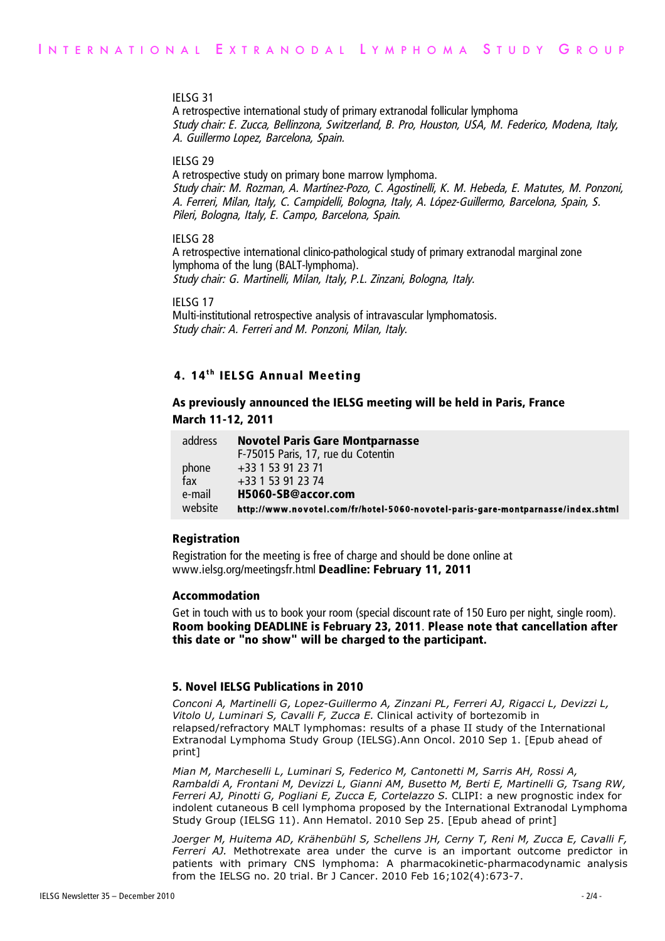#### IELSG 31

A retrospective international study of primary extranodal follicular lymphoma Study chair: E. Zucca, Bellinzona, Switzerland, B. Pro, Houston, USA, M. Federico, Modena, Italy, A. Guillermo Lopez, Barcelona, Spain.

IELSG 29

A retrospective study on primary bone marrow lymphoma. Study chair: M. Rozman, A. Martínez-Pozo, C. Agostinelli, K. M. Hebeda, E. Matutes, M. Ponzoni, A. Ferreri, Milan, Italy, C. Campidelli, Bologna, Italy, A. López-Guillermo, Barcelona, Spain, S. Pileri, Bologna, Italy, E. Campo, Barcelona, Spain.

IELSG 28

A retrospective international clinico-pathological study of primary extranodal marginal zone lymphoma of the lung (BALT-lymphoma). Study chair: G. Martinelli, Milan, Italy, P.L. Zinzani, Bologna, Italy.

IELSG 17 Multi-institutional retrospective analysis of intravascular lymphomatosis. Study chair: A. Ferreri and M. Ponzoni, Milan, Italy.

# 4. 14<sup>th</sup> IELSG Annual Meeting

As previously announced the IELSG meeting will be held in Paris, France March 11-12, 2011

| address | <b>Novotel Paris Gare Montparnasse</b>                                           |
|---------|----------------------------------------------------------------------------------|
|         | F-75015 Paris, 17, rue du Cotentin                                               |
| phone   | +33 1 53 91 23 71                                                                |
| fax     | +33 1 53 91 23 74                                                                |
| e-mail  | H5060-SB@accor.com                                                               |
| website | http://www.novotel.com/fr/hotel-5060-novotel-paris-gare-montparnasse/index.shtml |

#### Registration

Registration for the meeting is free of charge and should be done online at www.ielsg.org/meetingsfr.html Deadline: February 11, 2011

#### Accommodation

Get in touch with us to book your room (special discount rate of 150 Euro per night, single room). Room booking DEADLINE is February 23, 2011. Please note that cancellation after this date or "no show" will be charged to the participant.

#### 5. Novel IELSG Publications in 2010

*Conconi A, Martinelli G, Lopez-Guillermo A, Zinzani PL, Ferreri AJ, Rigacci L, Devizzi L, Vitolo U, Luminari S, Cavalli F, Zucca E.* Clinical activity of bortezomib in relapsed/refractory MALT lymphomas: results of a phase II study of the International Extranodal Lymphoma Study Group (IELSG).Ann Oncol. 2010 Sep 1. [Epub ahead of print]

*Mian M, Marcheselli L, Luminari S, Federico M, Cantonetti M, Sarris AH, Rossi A, Rambaldi A, Frontani M, Devizzi L, Gianni AM, Busetto M, Berti E, Martinelli G, Tsang RW, Ferreri AJ, Pinotti G, Pogliani E, Zucca E, Cortelazzo S.* CLIPI: a new prognostic index for indolent cutaneous B cell lymphoma proposed by the International Extranodal Lymphoma Study Group (IELSG 11). Ann Hematol. 2010 Sep 25. [Epub ahead of print]

*Joerger M, Huitema AD, Krähenbühl S, Schellens JH, Cerny T, Reni M, Zucca E, Cavalli F, Ferreri AJ.* Methotrexate area under the curve is an important outcome predictor in patients with primary CNS lymphoma: A pharmacokinetic-pharmacodynamic analysis from the IELSG no. 20 trial. Br J Cancer. 2010 Feb 16;102(4):673-7.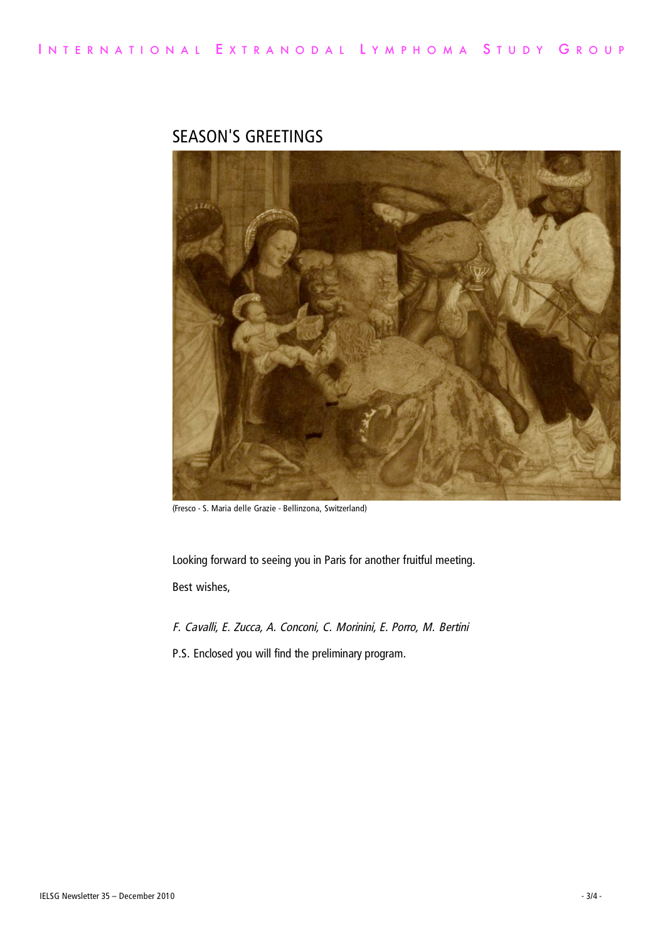# SEASON'S GREETINGS



(Fresco - S. Maria delle Grazie - Bellinzona, Switzerland)

Looking forward to seeing you in Paris for another fruitful meeting.

Best wishes,

F. Cavalli, E. Zucca, A. Conconi, C. Morinini, E. Porro, M. Bertini

P.S. Enclosed you will find the preliminary program.